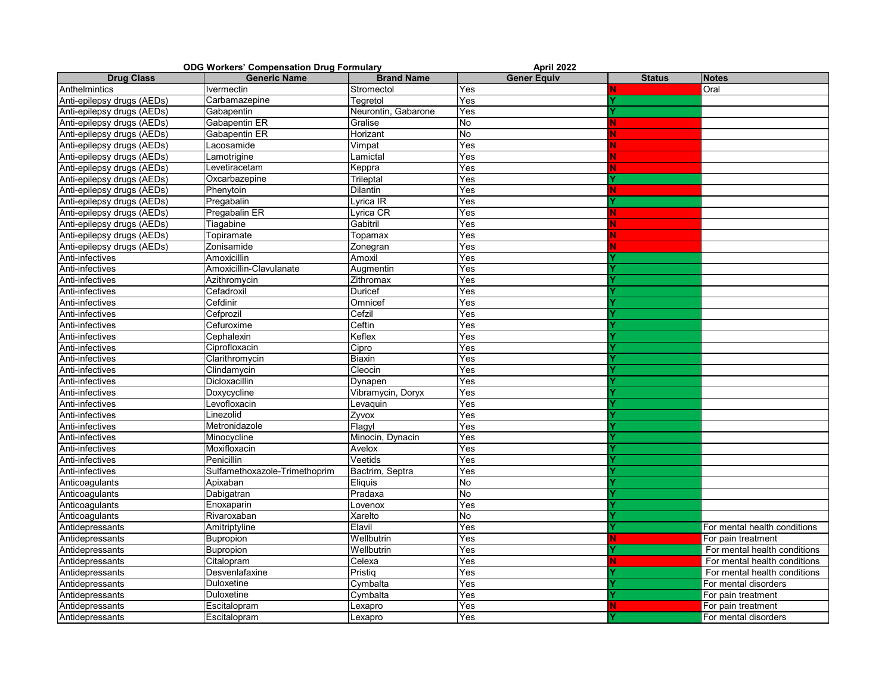| <b>ODG Workers' Compensation Drug Formulary</b> |                               |                     | April 2022         |               |                              |  |
|-------------------------------------------------|-------------------------------|---------------------|--------------------|---------------|------------------------------|--|
| <b>Drug Class</b>                               | <b>Generic Name</b>           | <b>Brand Name</b>   | <b>Gener Equiv</b> | <b>Status</b> | <b>Notes</b>                 |  |
| Anthelmintics                                   | Ivermectin                    | Stromectol          | Yes                |               | Oral                         |  |
| Anti-epilepsy drugs (AEDs)                      | Carbamazepine                 | Tegretol            | Yes                |               |                              |  |
| Anti-epilepsy drugs (AEDs)                      | Gabapentin                    | Neurontin, Gabarone | Yes                |               |                              |  |
| Anti-epilepsy drugs (AEDs)                      | Gabapentin ER                 | Gralise             | No                 |               |                              |  |
| Anti-epilepsy drugs (AEDs)                      | Gabapentin ER                 | Horizant            | No                 |               |                              |  |
| Anti-epilepsy drugs (AEDs)                      | Lacosamide                    | Vimpat              | Yes                |               |                              |  |
| Anti-epilepsy drugs (AEDs)                      | Lamotrigine                   | Lamictal            | Yes                |               |                              |  |
| Anti-epilepsy drugs (AEDs)                      | Levetiracetam                 | Keppra              | Yes                |               |                              |  |
| Anti-epilepsy drugs (AEDs)                      | Oxcarbazepine                 | Trileptal           | Yes                |               |                              |  |
| Anti-epilepsy drugs (AEDs)                      | Phenytoin                     | Dilantin            | Yes                | N.            |                              |  |
| Anti-epilepsy drugs (AEDs)                      | Pregabalin                    | _yrica IR           | Yes                |               |                              |  |
| Anti-epilepsy drugs (AEDs)                      | Pregabalin ER                 | Lyrica CR           | Yes                | N.            |                              |  |
| Anti-epilepsy drugs (AEDs)                      | Tiagabine                     | Gabitril            | Yes                |               |                              |  |
| Anti-epilepsy drugs (AEDs)                      | Topiramate                    | Topamax             | Yes                | N             |                              |  |
| Anti-epilepsy drugs (AEDs)                      | Zonisamide                    | Zonegran            | Yes                |               |                              |  |
| Anti-infectives                                 | Amoxicillin                   | Amoxil              | Yes                |               |                              |  |
| Anti-infectives                                 | Amoxicillin-Clavulanate       | Augmentin           | Yes                |               |                              |  |
| Anti-infectives                                 | Azithromycin                  | Zithromax           | Yes                |               |                              |  |
| Anti-infectives                                 | Cefadroxil                    | Duricef             | Yes                |               |                              |  |
| Anti-infectives                                 | Cefdinir                      | Omnicef             | Yes                |               |                              |  |
| Anti-infectives                                 | Cefprozil                     | Cefzil              | Yes                |               |                              |  |
| Anti-infectives                                 | Cefuroxime                    | Ceftin              | Yes                |               |                              |  |
| Anti-infectives                                 | Cephalexin                    | Keflex              | Yes                |               |                              |  |
| Anti-infectives                                 | Ciprofloxacin                 | Cipro               | Yes                |               |                              |  |
| Anti-infectives                                 | Clarithromycin                | Biaxin              | Yes                |               |                              |  |
| Anti-infectives                                 | Clindamycin                   | Cleocin             | Yes                |               |                              |  |
| Anti-infectives                                 | Dicloxacillin                 | Dynapen             | Yes                |               |                              |  |
| Anti-infectives                                 | Doxycycline                   | Vibramycin, Doryx   | Yes                |               |                              |  |
| Anti-infectives                                 | Levofloxacin                  | Levaquin            | Yes                |               |                              |  |
| Anti-infectives                                 | Linezolid                     | Zyvox               | Yes                |               |                              |  |
| Anti-infectives                                 | Metronidazole                 | Flagyl              | Yes                |               |                              |  |
| Anti-infectives                                 | Minocycline                   | Minocin, Dynacin    | Yes                |               |                              |  |
| Anti-infectives                                 | Moxifloxacin                  | Avelox              | Yes                |               |                              |  |
| Anti-infectives                                 | Penicillin                    | Veetids             | Yes                |               |                              |  |
| Anti-infectives                                 | Sulfamethoxazole-Trimethoprim | Bactrim, Septra     | Yes                |               |                              |  |
| Anticoagulants                                  | Apixaban                      | Eliquis             | No                 |               |                              |  |
| Anticoagulants                                  | Dabigatran                    | Pradaxa             | No                 |               |                              |  |
| Anticoagulants                                  | Enoxaparin                    | Lovenox             | Yes                |               |                              |  |
| Anticoagulants                                  | Rivaroxaban                   | Xarelto             | No.                |               |                              |  |
| Antidepressants                                 | Amitriptyline                 | Elavil              | Yes                |               | For mental health conditions |  |
| Antidepressants                                 | <b>Bupropion</b>              | Wellbutrin          | Yes                | N.            | For pain treatment           |  |
| Antidepressants                                 | Bupropion                     | Wellbutrin          | Yes                |               | For mental health conditions |  |
| Antidepressants                                 | Citalopram                    | Celexa              | Yes                | N.            | For mental health conditions |  |
| Antidepressants                                 | Desvenlafaxine                | Pristiq             | Yes                |               | For mental health conditions |  |
| Antidepressants                                 | Duloxetine                    | Cymbalta            | Yes                |               | For mental disorders         |  |
| Antidepressants                                 | Duloxetine                    | Cymbalta            | Yes                |               | For pain treatment           |  |
| Antidepressants                                 | Escitalopram                  | Lexapro             | Yes                | N.            | For pain treatment           |  |
| Antidepressants                                 | Escitalopram                  | Lexapro             | Yes                |               | For mental disorders         |  |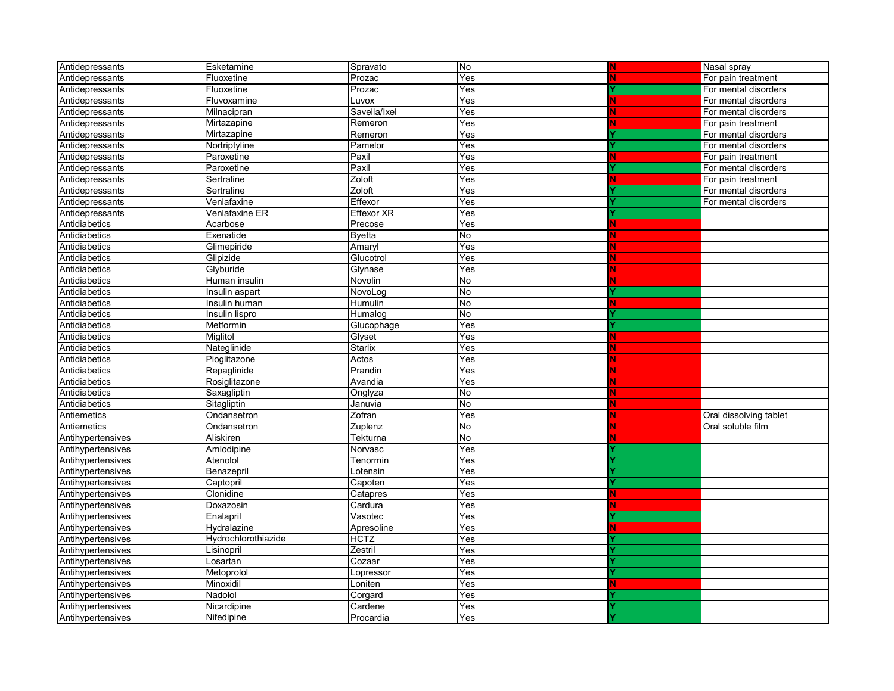| Antidepressants   | Esketamine          | Spravato      | No        | N                            | Nasal spray            |
|-------------------|---------------------|---------------|-----------|------------------------------|------------------------|
| Antidepressants   | Fluoxetine          | Prozac        | Yes       | N                            | For pain treatment     |
| Antidepressants   | Fluoxetine          | Prozac        | Yes       |                              | For mental disorders   |
| Antidepressants   | Fluvoxamine         | Luvox         | Yes       | N                            | For mental disorders   |
| Antidepressants   | Milnacipran         | Savella/Ixel  | Yes       |                              | For mental disorders   |
| Antidepressants   | Mirtazapine         | Remeron       | Yes       | N                            | For pain treatment     |
| Antidepressants   | Mirtazapine         | Remeron       | Yes       |                              | For mental disorders   |
| Antidepressants   | Nortriptyline       | Pamelor       | Yes       |                              | For mental disorders   |
| Antidepressants   | Paroxetine          | Paxil         | Yes       | N                            | For pain treatment     |
| Antidepressants   | Paroxetine          | Paxil         | Yes       |                              | For mental disorders   |
| Antidepressants   | Sertraline          | Zoloft        | Yes       | N                            | For pain treatment     |
| Antidepressants   | Sertraline          | Zoloft        | Yes       |                              | For mental disorders   |
| Antidepressants   | Venlafaxine         | Effexor       | Yes       |                              | For mental disorders   |
| Antidepressants   | Venlafaxine ER      | Effexor XR    | Yes       |                              |                        |
| Antidiabetics     | Acarbose            | Precose       | Yes       | N                            |                        |
| Antidiabetics     | Exenatide           | <b>Byetta</b> | No        |                              |                        |
| Antidiabetics     | Glimepiride         | Amarvl        | Yes       |                              |                        |
| Antidiabetics     | Glipizide           | Glucotrol     | Yes       |                              |                        |
| Antidiabetics     | Glyburide           | Glynase       | Yes       |                              |                        |
| Antidiabetics     | Human insulin       | Novolin       | No        |                              |                        |
| Antidiabetics     | Insulin aspart      | NovoLog       | No        |                              |                        |
| Antidiabetics     | Insulin human       | Humulin       | No        | N                            |                        |
| Antidiabetics     | Insulin lispro      | Humalog       | No        |                              |                        |
| Antidiabetics     | Metformin           | Glucophage    | Yes       |                              |                        |
| Antidiabetics     | Miglitol            | Glyset        | Yes       |                              |                        |
| Antidiabetics     | Nateglinide         | Starlix       | Yes       |                              |                        |
| Antidiabetics     | Pioglitazone        | Actos         | Yes       |                              |                        |
| Antidiabetics     | Repaglinide         | Prandin       | Yes       |                              |                        |
| Antidiabetics     | Rosiglitazone       | Avandia       | Yes       |                              |                        |
| Antidiabetics     | Saxagliptin         | Onglyza       | No        |                              |                        |
| Antidiabetics     | Sitagliptin         | Januvia       | <b>No</b> |                              |                        |
| Antiemetics       | Ondansetron         | Zofran        | Yes       |                              | Oral dissolving tablet |
| Antiemetics       | Ondansetron         | Zuplenz       | No        |                              | Oral soluble film      |
| Antihypertensives | Aliskiren           | Tekturna      | No        |                              |                        |
| Antihypertensives | Amlodipine          | Norvasc       | Yes       |                              |                        |
| Antihypertensives | Atenolol            | Tenormin      | Yes       |                              |                        |
| Antihypertensives | Benazepril          | Lotensin      | Yes       |                              |                        |
| Antihypertensives | Captopril           | Capoten       | Yes       |                              |                        |
| Antihypertensives | Clonidine           | Catapres      | Yes       | N.<br><b>Service Service</b> |                        |
| Antihypertensives | Doxazosin           | Cardura       | Yes       | N.                           |                        |
| Antihypertensives | Enalapril           | Vasotec       | Yes       |                              |                        |
| Antihypertensives | Hydralazine         | Apresoline    | Yes       | Ν                            |                        |
| Antihypertensives | Hydrochlorothiazide | <b>HCTZ</b>   | Yes       |                              |                        |
| Antihypertensives | Lisinopril          | Zestril       | Yes       |                              |                        |
| Antihypertensives | Losartan            | Cozaar        | Yes       |                              |                        |
| Antihypertensives | Metoprolol          | Lopressor     | Yes       |                              |                        |
| Antihypertensives | Minoxidil           | Loniten       | Yes       | N                            |                        |
| Antihypertensives | Nadolol             | Corgard       | Yes       |                              |                        |
| Antihypertensives | Nicardipine         | Cardene       | Yes       |                              |                        |
| Antihypertensives | Nifedipine          | Procardia     | Yes       |                              |                        |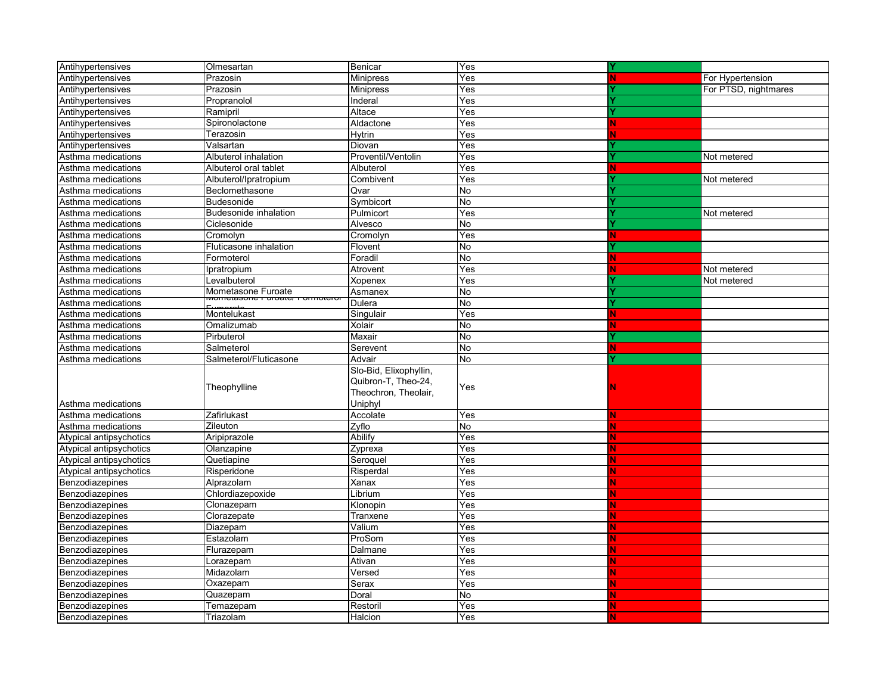| Antihypertensives       | Olmesartan                   | Benicar                | Yes            |    |                      |
|-------------------------|------------------------------|------------------------|----------------|----|----------------------|
| Antihypertensives       | Prazosin                     | <b>Minipress</b>       | Yes            | Ν  | For Hypertension     |
| Antihypertensives       | Prazosin                     | <b>Minipress</b>       | Yes            |    | For PTSD, nightmares |
| Antihypertensives       | Propranolol                  | Inderal                | Yes            |    |                      |
| Antihypertensives       | Ramipril                     | Altace                 | Yes            |    |                      |
| Antihypertensives       | Spironolactone               | Aldactone              | Yes            | N. |                      |
| Antihypertensives       | Terazosin                    | Hytrin                 | Yes            |    |                      |
| Antihypertensives       | Valsartan                    | Diovan                 | Yes            |    |                      |
| Asthma medications      | Albuterol inhalation         | Proventil/Ventolin     | Yes            |    | Not metered          |
| Asthma medications      | Albuterol oral tablet        | Albuterol              | Yes            | N. |                      |
| Asthma medications      | Albuterol/Ipratropium        | Combivent              | Yes            |    | Not metered          |
| Asthma medications      | Beclomethasone               | Qvar                   | No             |    |                      |
| Asthma medications      | <b>Budesonide</b>            | Symbicort              | No             |    |                      |
| Asthma medications      | <b>Budesonide inhalation</b> | Pulmicort              | Yes            |    | Not metered          |
| Asthma medications      | Ciclesonide                  | Alvesco                | <b>No</b>      |    |                      |
| Asthma medications      | Cromolyn                     | Cromolyn               | Yes            | N  |                      |
| Asthma medications      | Fluticasone inhalation       | Flovent                | No             |    |                      |
| Asthma medications      | Formoterol                   | Foradil                | No             | Ν  |                      |
| Asthma medications      | Ipratropium                  | Atrovent               | Yes            |    | Not metered          |
| Asthma medications      | Levalbuterol                 | Xopenex                | Yes            |    | Not metered          |
| Asthma medications      | Mometasone Furoate           | Asmanex                | No             |    |                      |
| Asthma medications      |                              | Dulera                 | No             |    |                      |
| Asthma medications      | Montelukast                  | Singulair              | Yes            | N  |                      |
| Asthma medications      | Omalizumab                   | Xolair                 | No             |    |                      |
| Asthma medications      | Pirbuterol                   | Maxair                 | No             |    |                      |
| Asthma medications      | Salmeterol                   | Serevent               | No             | N. |                      |
| Asthma medications      | Salmeterol/Fluticasone       | Advair                 | No             |    |                      |
|                         |                              | Slo-Bid, Elixophyllin, |                |    |                      |
|                         | Theophylline                 | Quibron-T, Theo-24,    | Yes            |    |                      |
|                         |                              | Theochron, Theolair,   |                |    |                      |
| Asthma medications      |                              | Uniphyl                |                |    |                      |
| Asthma medications      | Zafirlukast                  | Accolate               | Yes            |    |                      |
| Asthma medications      | Zileuton                     | Zyflo                  | No             |    |                      |
| Atypical antipsychotics | Aripiprazole                 | Abilify                | Yes            |    |                      |
| Atypical antipsychotics | Olanzapine                   | Zyprexa                | Yes            |    |                      |
| Atypical antipsychotics | Quetiapine                   | Seroquel               | Yes            |    |                      |
| Atypical antipsychotics | Risperidone                  | Risperdal              | Yes            |    |                      |
| Benzodiazepines         | Alprazolam                   | Xanax                  | Yes            |    |                      |
| Benzodiazepines         | Chlordiazepoxide             | Librium                | Yes            |    |                      |
| Benzodiazepines         | Clonazepam                   | Klonopin               | Yes            |    |                      |
| Benzodiazepines         | Clorazepate                  | Tranxene               | Yes            |    |                      |
| Benzodiazepines         | Diazepam                     | Valium                 | Yes            |    |                      |
| Benzodiazepines         | Estazolam                    | ProSom                 | Yes            |    |                      |
| Benzodiazepines         | Flurazepam                   | Dalmane                | Yes            |    |                      |
| Benzodiazepines         | Lorazepam                    | Ativan                 | Yes            |    |                      |
| Benzodiazepines         | Midazolam                    | Versed                 | Yes            |    |                      |
| Benzodiazepines         | Oxazepam                     | Serax                  | Yes            |    |                      |
| Benzodiazepines         | Quazepam                     | Doral                  | $\overline{N}$ |    |                      |
| Benzodiazepines         | Temazepam                    | Restoril               | Yes            |    |                      |
| Benzodiazepines         | Triazolam                    | Halcion                | Yes            |    |                      |
|                         |                              |                        |                |    |                      |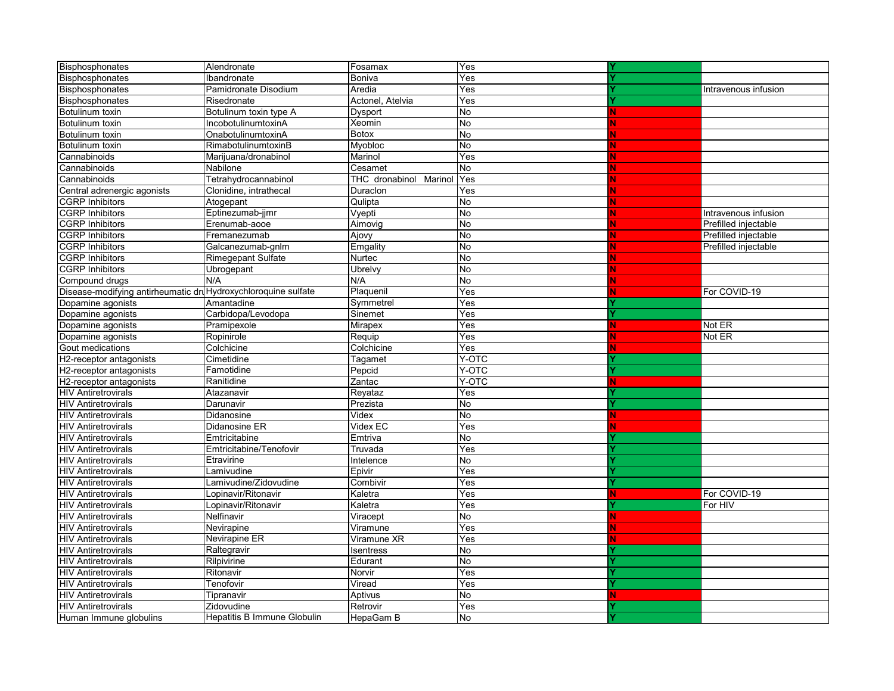| Bisphosphonates                                               | Alendronate                 | Fosamax                   | Yes       |    |                      |
|---------------------------------------------------------------|-----------------------------|---------------------------|-----------|----|----------------------|
| Bisphosphonates                                               | Ibandronate                 | <b>Boniva</b>             | Yes       |    |                      |
| Bisphosphonates                                               | Pamidronate Disodium        | Aredia                    | Yes       |    | Intravenous infusion |
| Bisphosphonates                                               | Risedronate                 | Actonel, Atelvia          | Yes       |    |                      |
| Botulinum toxin                                               | Botulinum toxin type A      | Dysport                   | No        |    |                      |
| Botulinum toxin                                               | IncobotulinumtoxinA         | Xeomin                    | No        |    |                      |
| Botulinum toxin                                               | OnabotulinumtoxinA          | <b>Botox</b>              | No        |    |                      |
| Botulinum toxin                                               | RimabotulinumtoxinB         | Myobloc                   | No        |    |                      |
| Cannabinoids                                                  | Marijuana/dronabinol        | Marinol                   | Yes       |    |                      |
| Cannabinoids                                                  | Nabilone                    | Cesamet                   | No        |    |                      |
| Cannabinoids                                                  | Tetrahydrocannabinol        | THC dronabinol<br>Marinol | Yes       |    |                      |
| Central adrenergic agonists                                   | Clonidine, intrathecal      | Duraclon                  | Yes       |    |                      |
| <b>CGRP Inhibitors</b>                                        | Atogepant                   | Qulipta                   | No        |    |                      |
| <b>CGRP Inhibitors</b>                                        | Eptinezumab-jjmr            | Vyepti                    | No        |    | Intravenous infusion |
| <b>CGRP</b> Inhibitors                                        | Erenumab-aooe               | Aimovig                   | No        |    | Prefilled injectable |
| <b>CGRP Inhibitors</b>                                        | Fremanezumab                | Ajovy                     | No        |    | Prefilled injectable |
| <b>CGRP Inhibitors</b>                                        | Galcanezumab-gnlm           | Emgality                  | No        |    | Prefilled injectable |
| <b>CGRP Inhibitors</b>                                        | <b>Rimegepant Sulfate</b>   | Nurtec                    | No        |    |                      |
| <b>CGRP Inhibitors</b>                                        | Ubrogepant                  | Ubrelvy                   | No        |    |                      |
| Compound drugs                                                | N/A                         | N/A                       | No        |    |                      |
| Disease-modifying antirheumatic druHydroxychloroquine sulfate |                             | Plaquenil                 | Yes       |    | For COVID-19         |
| Dopamine agonists                                             | Amantadine                  | Symmetrel                 | Yes       |    |                      |
| Dopamine agonists                                             | Carbidopa/Levodopa          | Sinemet                   | Yes       |    |                      |
| Dopamine agonists                                             | Pramipexole                 | Mirapex                   | Yes       | N  | Not ER               |
| Dopamine agonists                                             | Ropinirole                  | Requip                    | Yes       |    | Not ER               |
| Gout medications                                              | Colchicine                  | Colchicine                | Yes       |    |                      |
| H2-receptor antagonists                                       | Cimetidine                  | Tagamet                   | Y-OTC     |    |                      |
| H2-receptor antagonists                                       | Famotidine                  | Pepcid                    | Y-OTC     |    |                      |
| H2-receptor antagonists                                       | Ranitidine                  | Zantac                    | Y-OTC     |    |                      |
| <b>HIV Antiretrovirals</b>                                    | Atazanavir                  | Reyataz                   | Yes       |    |                      |
| <b>HIV Antiretrovirals</b>                                    | Darunavir                   | Prezista                  | <b>No</b> |    |                      |
| <b>HIV Antiretrovirals</b>                                    | Didanosine                  | Videx                     | No        | N. |                      |
| <b>HIV Antiretrovirals</b>                                    | Didanosine ER               | Videx EC                  | Yes       |    |                      |
| <b>HIV Antiretrovirals</b>                                    | Emtricitabine               | Emtriva                   | No        |    |                      |
| <b>HIV Antiretrovirals</b>                                    | Emtricitabine/Tenofovir     | Truvada                   | Yes       |    |                      |
| <b>HIV Antiretrovirals</b>                                    | Etravirine                  | Intelence                 | <b>No</b> |    |                      |
| <b>HIV</b> Antiretrovirals                                    | Lamivudine                  | Epivir                    | Yes       |    |                      |
| <b>HIV</b> Antiretrovirals                                    | Lamivudine/Zidovudine       | Combivir                  | Yes       |    |                      |
| <b>HIV Antiretrovirals</b>                                    | Lopinavir/Ritonavir         | Kaletra                   | Yes       |    | For COVID-19         |
| <b>HIV Antiretrovirals</b>                                    | Lopinavir/Ritonavir         | Kaletra                   | Yes       |    | For HIV              |
| <b>HIV Antiretrovirals</b>                                    | Nelfinavir                  | Viracept                  | <b>No</b> | N  |                      |
| <b>HIV Antiretrovirals</b>                                    | Nevirapine                  | Viramune                  | Yes       |    |                      |
| <b>HIV Antiretrovirals</b>                                    | Nevirapine ER               | Viramune XR               | Yes       |    |                      |
| <b>HIV</b> Antiretrovirals                                    | Raltegravir                 | Isentress                 | No        |    |                      |
| <b>HIV Antiretrovirals</b>                                    | Rilpivirine                 | Edurant                   | No        |    |                      |
| <b>HIV Antiretrovirals</b>                                    | Ritonavir                   | Norvir                    | Yes       |    |                      |
| <b>HIV Antiretrovirals</b>                                    | Tenofovir                   | Viread                    | Yes       |    |                      |
| <b>HIV Antiretrovirals</b>                                    | Tipranavir                  | Aptivus                   | No        | Ν  |                      |
| <b>HIV Antiretrovirals</b>                                    | Zidovudine                  | Retrovir                  | Yes       |    |                      |
| Human Immune globulins                                        | Hepatitis B Immune Globulin | HepaGam B                 | <b>No</b> |    |                      |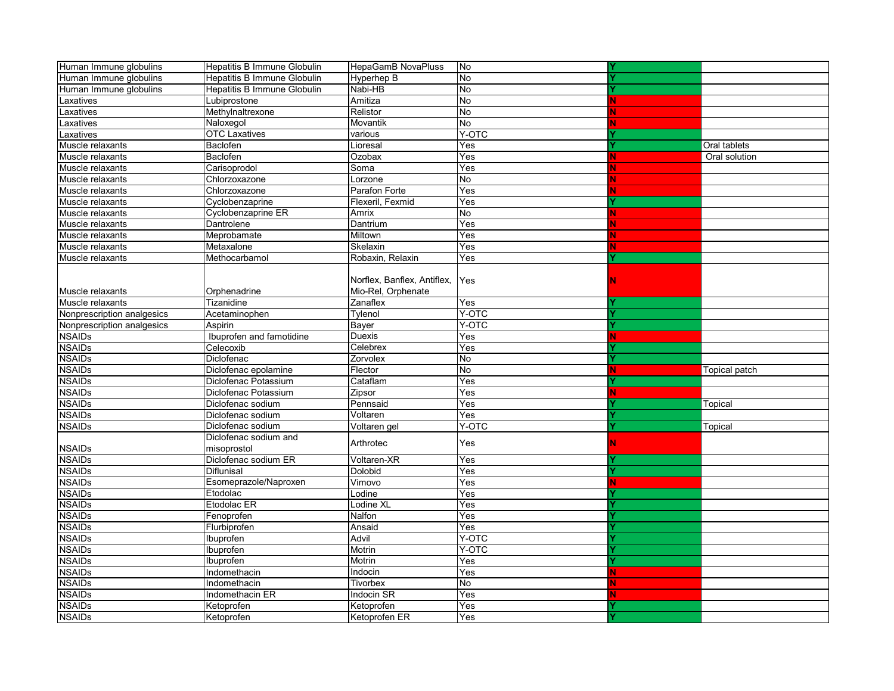| Human Immune globulins     | Hepatitis B Immune Globulin     | HepaGamB NovaPluss          | No                        |    |               |
|----------------------------|---------------------------------|-----------------------------|---------------------------|----|---------------|
| Human Immune globulins     | Hepatitis B Immune Globulin     | Hyperhep B                  | No                        |    |               |
| Human Immune globulins     | Hepatitis B Immune Globulin     | Nabi-HB                     | No                        |    |               |
| Laxatives                  | Lubiprostone                    | Amitiza                     | No                        | N. |               |
| Laxatives                  | Methylnaltrexone                | Relistor                    | <b>No</b>                 |    |               |
| Laxatives                  | Naloxegol                       | Movantik                    | No                        |    |               |
| Laxatives                  | <b>OTC Laxatives</b>            | various                     | Y-OTC                     |    |               |
| Muscle relaxants           | Baclofen                        | Lioresal                    | Yes                       |    | Oral tablets  |
| Muscle relaxants           | Baclofen                        | Ozobax                      | Yes                       |    | Oral solution |
| Muscle relaxants           | Carisoprodol                    | Soma                        | Yes                       |    |               |
| Muscle relaxants           | Chlorzoxazone                   | Lorzone                     | No                        |    |               |
| Muscle relaxants           | Chlorzoxazone                   | Parafon Forte               | Yes                       |    |               |
| Muscle relaxants           | Cyclobenzaprine                 | Flexeril, Fexmid            | Yes                       |    |               |
| Muscle relaxants           | Cyclobenzaprine ER              | Amrix                       | No                        | N  |               |
| Muscle relaxants           | Dantrolene                      | Dantrium                    | Yes                       |    |               |
| Muscle relaxants           | Meprobamate                     | Miltown                     | Yes                       |    |               |
| Muscle relaxants           | Metaxalone                      | Skelaxin                    | Yes                       |    |               |
| Muscle relaxants           | Methocarbamol                   | Robaxin, Relaxin            | Yes                       |    |               |
|                            |                                 |                             |                           |    |               |
|                            |                                 | Norflex, Banflex, Antiflex, | Yes                       |    |               |
| Muscle relaxants           | Orphenadrine                    | Mio-Rel, Orphenate          |                           |    |               |
| Muscle relaxants           | Tizanidine                      | Zanaflex                    | Yes                       |    |               |
| Nonprescription analgesics | Acetaminophen                   | Tylenol                     | Y-OTC                     |    |               |
| Nonprescription analgesics | Aspirin                         | Bayer                       | Y-OTC                     |    |               |
| <b>NSAIDs</b>              | Ibuprofen and famotidine        | Duexis                      | Yes                       | N  |               |
| <b>NSAIDs</b>              | Celecoxib                       | Celebrex                    | Yes                       |    |               |
| <b>NSAIDs</b>              | Diclofenac                      | Zorvolex                    | No                        |    |               |
| <b>NSAIDs</b>              | Diclofenac epolamine            | Flector                     | No                        | N  | Topical patch |
| <b>NSAIDs</b>              | Diclofenac Potassium            | Cataflam                    | Yes                       |    |               |
| <b>NSAIDs</b>              | Diclofenac Potassium            | Zipsor                      | Yes                       | N. |               |
| <b>NSAIDs</b>              | Diclofenac sodium               | Pennsaid                    | Yes                       |    | Topical       |
| <b>NSAIDs</b>              | Diclofenac sodium               | Voltaren                    | Yes                       |    |               |
| <b>NSAIDs</b>              | Diclofenac sodium               | Voltaren gel                | Y-OTC                     |    | Topical       |
|                            | Diclofenac sodium and           |                             |                           |    |               |
| <b>NSAIDs</b>              | misoprostol                     | Arthrotec                   | Yes                       | N  |               |
| <b>NSAIDs</b>              | Diclofenac sodium ER            | Voltaren-XR                 | Yes                       |    |               |
| <b>NSAIDs</b>              | Diflunisal                      | Dolobid                     | Yes                       |    |               |
| <b>NSAIDs</b>              | Esomeprazole/Naproxen           | Vimovo                      | Yes                       | Ν  |               |
| <b>NSAIDs</b>              | Etodolac                        | Lodine                      | Yes                       |    |               |
| <b>NSAIDs</b>              | Etodolac ER                     | Lodine XL                   | $\overline{\text{Yes}}$   |    |               |
| <b>NSAIDs</b>              | Fenoprofen                      | Nalfon                      | $\overline{Yes}$          |    |               |
| <b>NSAIDs</b>              | Flurbiprofen                    | Ansaid                      | Yes                       |    |               |
| <b>NSAIDs</b>              | Ibuprofen                       | Advil                       | Y-OTC                     |    |               |
| <b>NSAIDs</b>              | Ibuprofen                       | Motrin                      | Y-OTC                     |    |               |
| <b>NSAIDs</b>              | Ibuprofen                       | Motrin                      | $\overline{\mathsf{Yes}}$ |    |               |
| <b>NSAIDs</b>              | Indomethacin                    | Indocin                     | Yes                       | N  |               |
| <b>NSAIDs</b>              |                                 | Tivorbex                    | $\overline{N}$            |    |               |
| <b>NSAIDs</b>              | Indomethacin<br>Indomethacin ER | <b>Indocin SR</b>           | Yes                       | N  |               |
| <b>NSAIDs</b>              | Ketoprofen                      | Ketoprofen                  | Yes                       |    |               |
|                            |                                 |                             | Yes                       |    |               |
| <b>NSAIDs</b>              | Ketoprofen                      | Ketoprofen ER               |                           |    |               |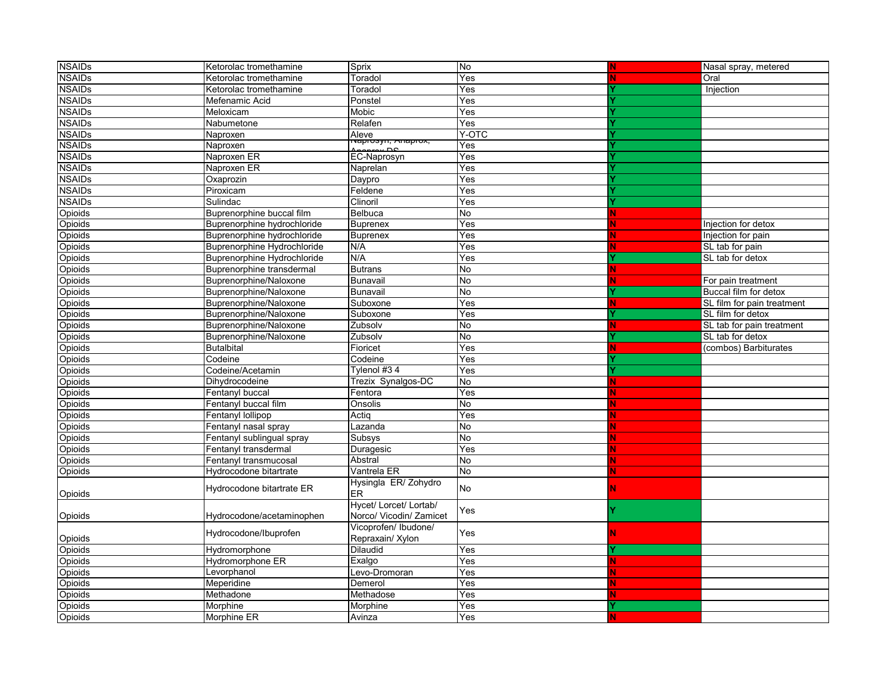| <b>NSAIDs</b> | Ketorolac tromethamine             | Sprix                         | No             |   | Nasal spray, metered       |
|---------------|------------------------------------|-------------------------------|----------------|---|----------------------------|
| <b>NSAIDs</b> | Ketorolac tromethamine             | Toradol                       | Yes            |   | Oral                       |
| <b>NSAIDs</b> | Ketorolac tromethamine             | Toradol                       | Yes            |   | Injection                  |
| <b>NSAIDs</b> | Mefenamic Acid                     | Ponstel                       | Yes            |   |                            |
| <b>NSAIDs</b> | Meloxicam                          | Mobic                         | Yes            |   |                            |
| <b>NSAIDs</b> | Nabumetone                         | Relafen                       | Yes            |   |                            |
| <b>NSAIDs</b> | Naproxen                           | Aleve                         | Y-OTC          |   |                            |
| <b>NSAIDs</b> | Naproxen                           | <del>чаргозуп, жпаргох,</del> | Yes            |   |                            |
| <b>NSAIDs</b> | Naproxen ER                        | EC-Naprosyn                   | Yes            |   |                            |
| <b>NSAIDs</b> | Naproxen ER                        | Naprelan                      | Yes            |   |                            |
| <b>NSAIDs</b> | Oxaprozin                          | Daypro                        | Yes            |   |                            |
| <b>NSAIDs</b> | Piroxicam                          | Feldene                       | Yes            |   |                            |
| <b>NSAIDs</b> | Sulindac                           | Clinoril                      | Yes            |   |                            |
| Opioids       | Buprenorphine buccal film          | Belbuca                       | No             |   |                            |
| Opioids       | Buprenorphine hydrochloride        | <b>Buprenex</b>               | Yes            |   | Injection for detox        |
| Opioids       | Buprenorphine hydrochloride        | <b>Buprenex</b>               | Yes            |   | Injection for pain         |
| Opioids       | <b>Buprenorphine Hydrochloride</b> | N/A                           | Yes            |   | SL tab for pain            |
| Opioids       | Buprenorphine Hydrochloride        | N/A                           | Yes            |   | SL tab for detox           |
| Opioids       | Buprenorphine transdermal          | <b>Butrans</b>                | N <sub>o</sub> |   |                            |
| Opioids       | Buprenorphine/Naloxone             | Bunavail                      | No             |   | For pain treatment         |
| Opioids       | Buprenorphine/Naloxone             | Bunavail                      | No             |   | Buccal film for detox      |
| Opioids       | Buprenorphine/Naloxone             | Suboxone                      | Yes            | Ν | SL film for pain treatment |
| Opioids       | Buprenorphine/Naloxone             | Suboxone                      | Yes            |   | SL film for detox          |
| Opioids       | Buprenorphine/Naloxone             | Zubsolv                       | N <sub>o</sub> | Ν | SL tab for pain treatment  |
| Opioids       | Buprenorphine/Naloxone             | Zubsolv                       | <b>No</b>      |   | SL tab for detox           |
| Opioids       | <b>Butalbital</b>                  | Fioricet                      | Yes            | N | (combos) Barbiturates      |
| Opioids       | Codeine                            | Codeine                       | Yes            |   |                            |
| Opioids       | Codeine/Acetamin                   | Tylenol #34                   | Yes            |   |                            |
| Opioids       | Dihydrocodeine                     | Trezix Synalgos-DC            | <b>No</b>      |   |                            |
| Opioids       | Fentanyl buccal                    | Fentora                       | Yes            |   |                            |
| Opioids       | Fentanyl buccal film               | Onsolis                       | No             |   |                            |
| Opioids       | Fentanyl lollipop                  | Actiq                         | Yes            |   |                            |
| Opioids       | Fentanyl nasal spray               | Lazanda                       | <b>No</b>      |   |                            |
| Opioids       | Fentanyl sublingual spray          | Subsys                        | No             |   |                            |
| Opioids       | Fentanyl transdermal               | Duragesic                     | Yes            |   |                            |
| Opioids       | Fentanyl transmucosal              | Abstral                       | No             |   |                            |
| Opioids       | Hydrocodone bitartrate             | Vantrela ER                   | No             |   |                            |
|               |                                    | Hysingla ER/Zohydro           |                |   |                            |
| Opioids       | Hydrocodone bitartrate ER          | ER                            | <b>No</b>      |   |                            |
|               |                                    | Hycet/ Lorcet/ Lortab/        |                |   |                            |
| Opioids       | Hydrocodone/acetaminophen          | Norco/ Vicodin/ Zamicet       | Yes            |   |                            |
|               |                                    | Vicoprofen/ Ibudone/          |                |   |                            |
| Opioids       | Hydrocodone/Ibuprofen              | Repraxain/ Xylon              | Yes            |   |                            |
| Opioids       | Hydromorphone                      | Dilaudid                      | Yes            |   |                            |
| Opioids       | Hydromorphone ER                   | Exalgo                        | Yes            |   |                            |
| Opioids       | Levorphanol                        | Levo-Dromoran                 | Yes            |   |                            |
| Opioids       | Meperidine                         | Demerol                       | Yes            |   |                            |
| Opioids       | Methadone                          | Methadose                     | Yes            |   |                            |
| Opioids       | Morphine                           | Morphine                      | Yes            |   |                            |
| Opioids       | Morphine ER                        | Avinza                        | Yes            |   |                            |
|               |                                    |                               |                |   |                            |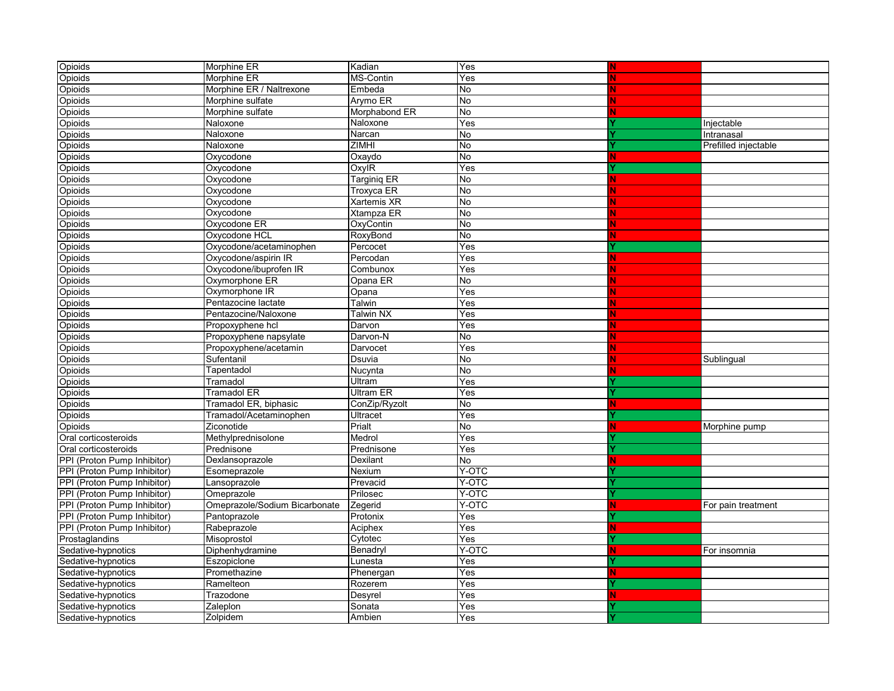| Opioids                     | Morphine ER                   | Kadian            | Yes                     | N  |                      |
|-----------------------------|-------------------------------|-------------------|-------------------------|----|----------------------|
| Opioids                     | Morphine ER                   | MS-Contin         | Yes                     |    |                      |
| Opioids                     | Morphine ER / Naltrexone      | Embeda            | No                      |    |                      |
| Opioids                     | Morphine sulfate              | Arymo ER          | No                      |    |                      |
| Opioids                     | Morphine sulfate              | Morphabond ER     | No                      |    |                      |
| Opioids                     | Naloxone                      | Naloxone          | Yes                     |    | Injectable           |
| Opioids                     | Naloxone                      | Narcan            | No                      |    | Intranasal           |
| Opioids                     | Naloxone                      | <b>ZIMHI</b>      | No                      |    | Prefilled injectable |
| Opioids                     | Oxycodone                     | Oxaydo            | <b>No</b>               |    |                      |
| Opioids                     | Oxycodone                     | OxylR             | Yes                     |    |                      |
| Opioids                     | Oxycodone                     | Targinig ER       | No                      | N  |                      |
| Opioids                     | Oxycodone                     | Troxyca ER        | No                      |    |                      |
| Opioids                     | Oxycodone                     | Xartemis XR       | No                      |    |                      |
| Opioids                     | Oxycodone                     | <b>Xtampza ER</b> | No                      |    |                      |
| Opioids                     | Oxycodone ER                  | OxyContin         | No                      |    |                      |
| Opioids                     | Oxycodone HCL                 | RoxyBond          | No                      | N  |                      |
| Opioids                     | Oxycodone/acetaminophen       | Percocet          | Yes                     |    |                      |
| Opioids                     | Oxycodone/aspirin IR          | Percodan          | Yes                     | N. |                      |
| Opioids                     | Oxycodone/ibuprofen IR        | Combunox          | Yes                     | N  |                      |
| Opioids                     | Oxymorphone ER                | Opana ER          | No                      | Ñ  |                      |
| Opioids                     | Oxymorphone IR                | Opana             | Yes                     |    |                      |
| Opioids                     | Pentazocine lactate           | Talwin            | Yes                     | N  |                      |
| Opioids                     | Pentazocine/Naloxone          | <b>Talwin NX</b>  | Yes                     | N  |                      |
| Opioids                     | Propoxyphene hcl              | Darvon            | Yes                     | N  |                      |
| Opioids                     | Propoxyphene napsylate        | Darvon-N          | <b>No</b>               | N  |                      |
| Opioids                     | Propoxyphene/acetamin         | Darvocet          | Yes                     | N  |                      |
| Opioids                     | Sufentanil                    | Dsuvia            | No                      | N  | Sublingual           |
| Opioids                     | Tapentadol                    | Nucynta           | No                      | N  |                      |
| Opioids                     | Tramadol                      | Ultram            | Yes                     |    |                      |
| Opioids                     | Tramadol ER                   | Ultram ER         | Yes                     |    |                      |
| Opioids                     | Tramadol ER, biphasic         | ConZip/Ryzolt     | No                      | N  |                      |
| Opioids                     | Tramadol/Acetaminophen        | Ultracet          | Yes                     |    |                      |
| Opioids                     | Ziconotide                    | Prialt            | <b>No</b>               | N  | Morphine pump        |
| Oral corticosteroids        | Methylprednisolone            | Medrol            | Yes                     |    |                      |
| Oral corticosteroids        | Prednisone                    | Prednisone        | Yes                     |    |                      |
| PPI (Proton Pump Inhibitor) | Dexlansoprazole               | Dexilant          | No                      | N. |                      |
| PPI (Proton Pump Inhibitor) | Esomeprazole                  | Nexium            | Y-OTC                   |    |                      |
| PPI (Proton Pump Inhibitor) | Lansoprazole                  | Prevacid          | Y-OTC                   |    |                      |
| PPI (Proton Pump Inhibitor) | Omeprazole                    | Prilosec          | Y-OTC                   |    |                      |
| PPI (Proton Pump Inhibitor) | Omeprazole/Sodium Bicarbonate | Zegerid           | Y-OTC                   | N. | For pain treatment   |
| PPI (Proton Pump Inhibitor) | Pantoprazole                  | Protonix          | Yes                     |    |                      |
| PPI (Proton Pump Inhibitor) | Rabeprazole                   | Aciphex           | $\overline{\text{Yes}}$ | N. |                      |
| Prostaglandins              | Misoprostol                   | Cytotec           | Yes                     |    |                      |
| Sedative-hypnotics          | Diphenhydramine               | Benadryl          | Y-OTC                   | N  | For insomnia         |
| Sedative-hypnotics          | Eszopiclone                   | Lunesta           | Yes                     |    |                      |
| Sedative-hypnotics          | Promethazine                  | Phenergan         | Yes                     | N. |                      |
| Sedative-hypnotics          | Ramelteon                     | Rozerem           | Yes                     |    |                      |
| Sedative-hypnotics          | Trazodone                     | Desyrel           | Yes                     | N  |                      |
| Sedative-hypnotics          | Zaleplon                      | Sonata            | Yes                     |    |                      |
| Sedative-hypnotics          | Zolpidem                      | Ambien            | Yes                     |    |                      |